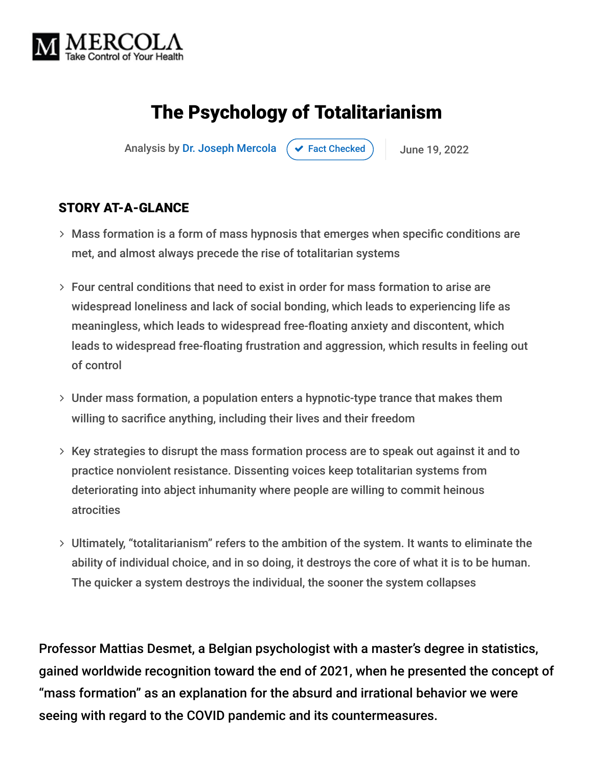

# The Psychology of Totalitarianism

Analysis by [Dr. Joseph Mercola](https://www.mercola.com/forms/background.htm)  $\left( \right. \times$  [Fact Checked](javascript:void(0))  $\left. \right)$  June 19, 2022

#### STORY AT-A-GLANCE

- Mass formation is a form of mass hypnosis that emerges when specific conditions are met, and almost always precede the rise of totalitarian systems
- Four central conditions that need to exist in order for mass formation to arise are widespread loneliness and lack of social bonding, which leads to experiencing life as meaningless, which leads to widespread free-floating anxiety and discontent, which leads to widespread free-floating frustration and aggression, which results in feeling out of control
- Under mass formation, a population enters a hypnotic-type trance that makes them willing to sacrifice anything, including their lives and their freedom
- $>$  Key strategies to disrupt the mass formation process are to speak out against it and to practice nonviolent resistance. Dissenting voices keep totalitarian systems from deteriorating into abject inhumanity where people are willing to commit heinous atrocities
- Ultimately, "totalitarianism" refers to the ambition of the system. It wants to eliminate the ability of individual choice, and in so doing, it destroys the core of what it is to be human. The quicker a system destroys the individual, the sooner the system collapses

Professor Mattias Desmet, a Belgian psychologist with a master's degree in statistics, gained worldwide recognition toward the end of 2021, when he presented the concept of "mass formation" as an explanation for the absurd and irrational behavior we were seeing with regard to the COVID pandemic and its countermeasures.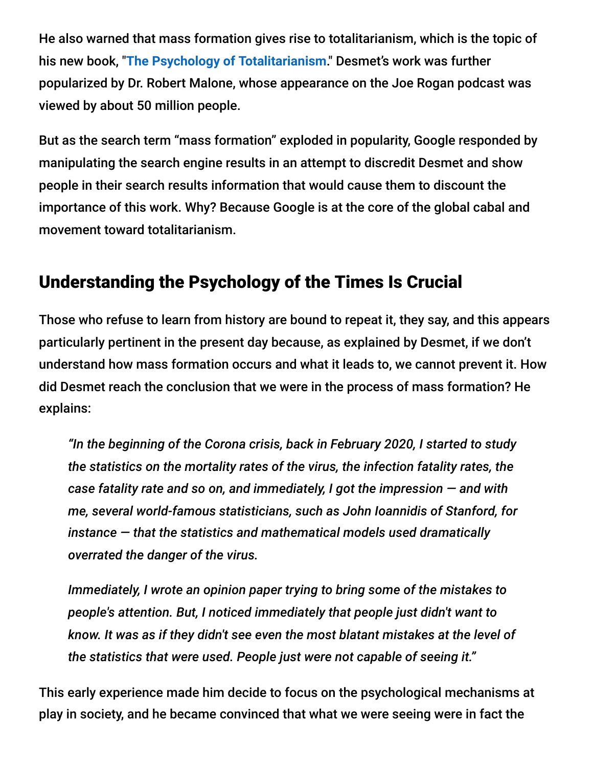He also warned that mass formation gives rise to totalitarianism, which is the topic of his new book, "**[The Psychology of Totalitarianism](https://www.amazon.com/Psychology-Totalitarianism-Mattias-Desmet/dp/1645021726)**." Desmet's work was further popularized by Dr. Robert Malone, whose appearance on the Joe Rogan podcast was viewed by about 50 million people.

But as the search term "mass formation" exploded in popularity, Google responded by manipulating the search engine results in an attempt to discredit Desmet and show people in their search results information that would cause them to discount the importance of this work. Why? Because Google is at the core of the global cabal and movement toward totalitarianism.

# Understanding the Psychology of the Times Is Crucial

Those who refuse to learn from history are bound to repeat it, they say, and this appears particularly pertinent in the present day because, as explained by Desmet, if we don't understand how mass formation occurs and what it leads to, we cannot prevent it. How did Desmet reach the conclusion that we were in the process of mass formation? He explains:

*"In the beginning of the Corona crisis, back in February 2020, I started to study the statistics on the mortality rates of the virus, the infection fatality rates, the case fatality rate and so on, and immediately, I got the impression — and with me, several world-famous statisticians, such as John Ioannidis of Stanford, for instance — that the statistics and mathematical models used dramatically overrated the danger of the virus.*

*Immediately, I wrote an opinion paper trying to bring some of the mistakes to people's attention. But, I noticed immediately that people just didn't want to know. It was as if they didn't see even the most blatant mistakes at the level of the statistics that were used. People just were not capable of seeing it."*

This early experience made him decide to focus on the psychological mechanisms at play in society, and he became convinced that what we were seeing were in fact the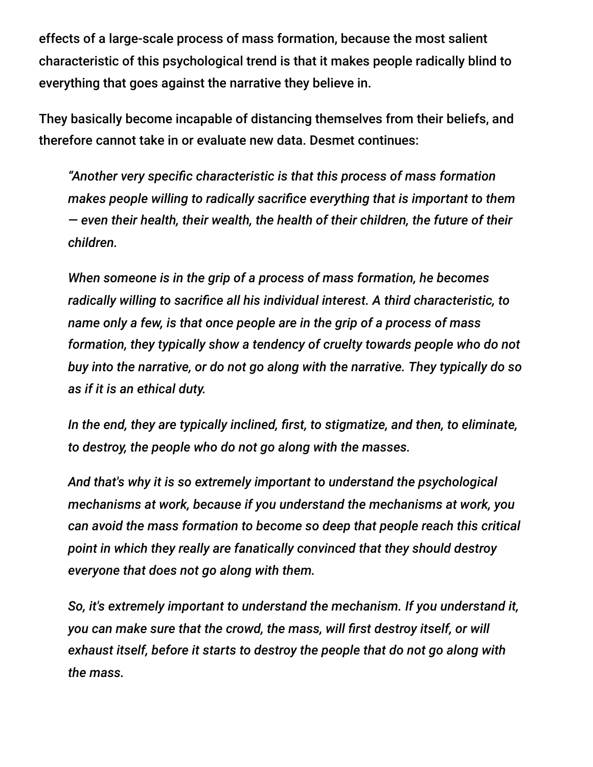effects of a large-scale process of mass formation, because the most salient characteristic of this psychological trend is that it makes people radically blind to everything that goes against the narrative they believe in.

They basically become incapable of distancing themselves from their beliefs, and therefore cannot take in or evaluate new data. Desmet continues:

*"Another very specific characteristic is that this process of mass formation makes people willing to radically sacrifice everything that is important to them — even their health, their wealth, the health of their children, the future of their children.*

*When someone is in the grip of a process of mass formation, he becomes radically willing to sacrifice all his individual interest. A third characteristic, to name only a few, is that once people are in the grip of a process of mass formation, they typically show a tendency of cruelty towards people who do not buy into the narrative, or do not go along with the narrative. They typically do so as if it is an ethical duty.*

*In the end, they are typically inclined, first, to stigmatize, and then, to eliminate, to destroy, the people who do not go along with the masses.*

*And that's why it is so extremely important to understand the psychological mechanisms at work, because if you understand the mechanisms at work, you can avoid the mass formation to become so deep that people reach this critical point in which they really are fanatically convinced that they should destroy everyone that does not go along with them.*

*So, it's extremely important to understand the mechanism. If you understand it, you can make sure that the crowd, the mass, will first destroy itself, or will exhaust itself, before it starts to destroy the people that do not go along with the mass.*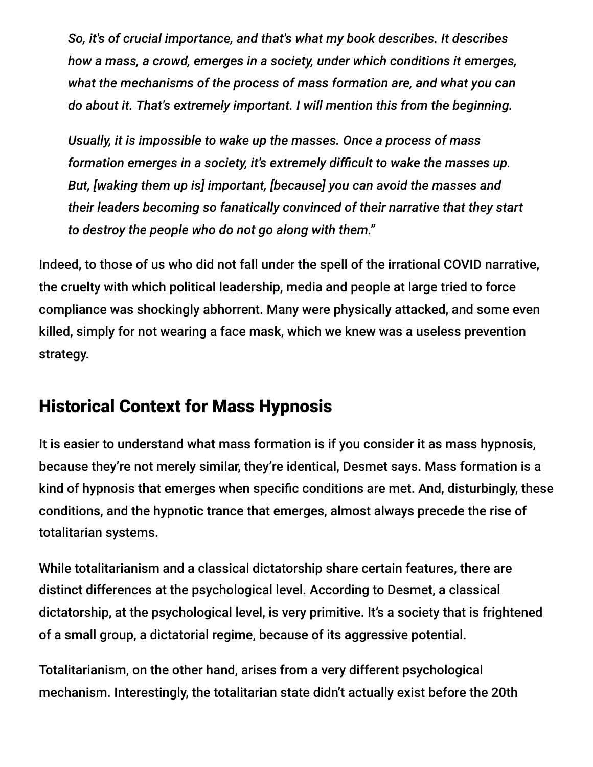*So, it's of crucial importance, and that's what my book describes. It describes how a mass, a crowd, emerges in a society, under which conditions it emerges, what the mechanisms of the process of mass formation are, and what you can do about it. That's extremely important. I will mention this from the beginning.*

*Usually, it is impossible to wake up the masses. Once a process of mass formation emerges in a society, it's extremely difficult to wake the masses up. But, [waking them up is] important, [because] you can avoid the masses and their leaders becoming so fanatically convinced of their narrative that they start to destroy the people who do not go along with them."*

Indeed, to those of us who did not fall under the spell of the irrational COVID narrative, the cruelty with which political leadership, media and people at large tried to force compliance was shockingly abhorrent. Many were physically attacked, and some even killed, simply for not wearing a face mask, which we knew was a useless prevention strategy.

#### Historical Context for Mass Hypnosis

It is easier to understand what mass formation is if you consider it as mass hypnosis, because they're not merely similar, they're identical, Desmet says. Mass formation is a kind of hypnosis that emerges when specific conditions are met. And, disturbingly, these conditions, and the hypnotic trance that emerges, almost always precede the rise of totalitarian systems.

While totalitarianism and a classical dictatorship share certain features, there are distinct differences at the psychological level. According to Desmet, a classical dictatorship, at the psychological level, is very primitive. It's a society that is frightened of a small group, a dictatorial regime, because of its aggressive potential.

Totalitarianism, on the other hand, arises from a very different psychological mechanism. Interestingly, the totalitarian state didn't actually exist before the 20th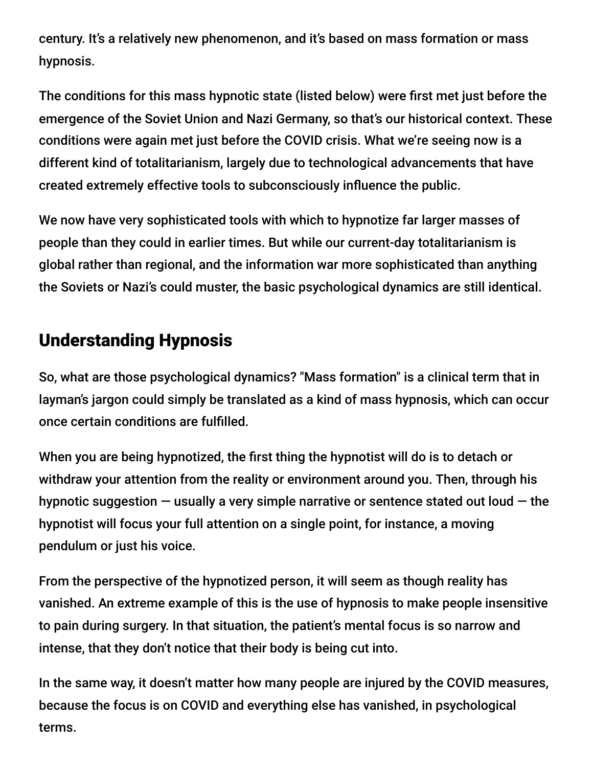century. It's a relatively new phenomenon, and it's based on mass formation or mass hypnosis.

The conditions for this mass hypnotic state (listed below) were first met just before the emergence of the Soviet Union and Nazi Germany, so that's our historical context. These conditions were again met just before the COVID crisis. What we're seeing now is a different kind of totalitarianism, largely due to technological advancements that have created extremely effective tools to subconsciously influence the public.

We now have very sophisticated tools with which to hypnotize far larger masses of people than they could in earlier times. But while our current-day totalitarianism is global rather than regional, and the information war more sophisticated than anything the Soviets or Nazi's could muster, the basic psychological dynamics are still identical.

#### Understanding Hypnosis

So, what are those psychological dynamics? "Mass formation" is a clinical term that in layman's jargon could simply be translated as a kind of mass hypnosis, which can occur once certain conditions are fulfilled.

When you are being hypnotized, the first thing the hypnotist will do is to detach or withdraw your attention from the reality or environment around you. Then, through his hypnotic suggestion  $-$  usually a very simple narrative or sentence stated out loud  $-$  the hypnotist will focus your full attention on a single point, for instance, a moving pendulum or just his voice.

From the perspective of the hypnotized person, it will seem as though reality has vanished. An extreme example of this is the use of hypnosis to make people insensitive to pain during surgery. In that situation, the patient's mental focus is so narrow and intense, that they don't notice that their body is being cut into.

In the same way, it doesn't matter how many people are injured by the COVID measures, because the focus is on COVID and everything else has vanished, in psychological terms.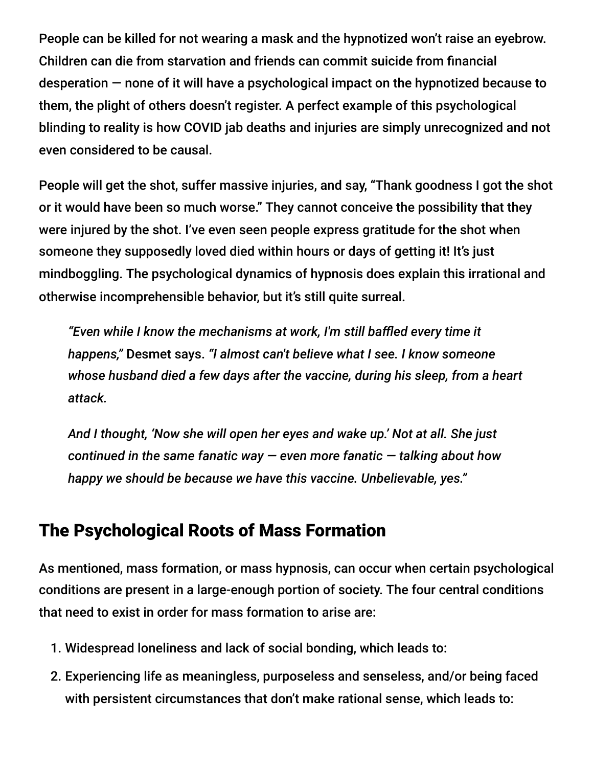People can be killed for not wearing a mask and the hypnotized won't raise an eyebrow. Children can die from starvation and friends can commit suicide from financial desperation — none of it will have a psychological impact on the hypnotized because to them, the plight of others doesn't register. A perfect example of this psychological blinding to reality is how COVID jab deaths and injuries are simply unrecognized and not even considered to be causal.

People will get the shot, suffer massive injuries, and say, "Thank goodness I got the shot or it would have been so much worse." They cannot conceive the possibility that they were injured by the shot. I've even seen people express gratitude for the shot when someone they supposedly loved died within hours or days of getting it! It's just mindboggling. The psychological dynamics of hypnosis does explain this irrational and otherwise incomprehensible behavior, but it's still quite surreal.

*"Even while I know the mechanisms at work, I'm still baffled every time it happens,"* Desmet says. *"I almost can't believe what I see. I know someone whose husband died a few days after the vaccine, during his sleep, from a heart attack.*

*And I thought, 'Now she will open her eyes and wake up.' Not at all. She just continued in the same fanatic way — even more fanatic — talking about how happy we should be because we have this vaccine. Unbelievable, yes."*

# The Psychological Roots of Mass Formation

As mentioned, mass formation, or mass hypnosis, can occur when certain psychological conditions are present in a large-enough portion of society. The four central conditions that need to exist in order for mass formation to arise are:

- 1. Widespread loneliness and lack of social bonding, which leads to:
- 2. Experiencing life as meaningless, purposeless and senseless, and/or being faced with persistent circumstances that don't make rational sense, which leads to: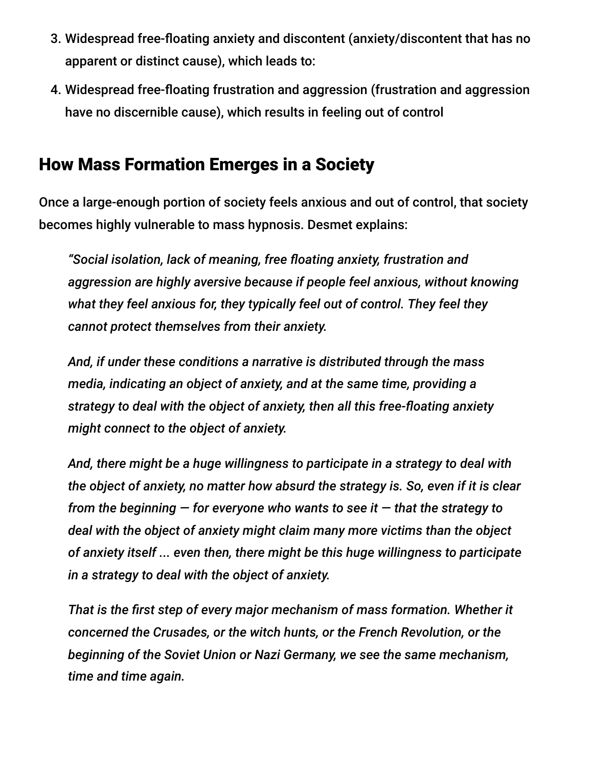- 3. Widespread free-floating anxiety and discontent (anxiety/discontent that has no apparent or distinct cause), which leads to:
- 4. Widespread free-floating frustration and aggression (frustration and aggression have no discernible cause), which results in feeling out of control

#### How Mass Formation Emerges in a Society

Once a large-enough portion of society feels anxious and out of control, that society becomes highly vulnerable to mass hypnosis. Desmet explains:

*"Social isolation, lack of meaning, free floating anxiety, frustration and aggression are highly aversive because if people feel anxious, without knowing what they feel anxious for, they typically feel out of control. They feel they cannot protect themselves from their anxiety.*

*And, if under these conditions a narrative is distributed through the mass media, indicating an object of anxiety, and at the same time, providing a strategy to deal with the object of anxiety, then all this free-floating anxiety might connect to the object of anxiety.*

*And, there might be a huge willingness to participate in a strategy to deal with the object of anxiety, no matter how absurd the strategy is. So, even if it is clear from the beginning — for everyone who wants to see it — that the strategy to deal with the object of anxiety might claim many more victims than the object of anxiety itself ... even then, there might be this huge willingness to participate in a strategy to deal with the object of anxiety.*

*That is the first step of every major mechanism of mass formation. Whether it concerned the Crusades, or the witch hunts, or the French Revolution, or the beginning of the Soviet Union or Nazi Germany, we see the same mechanism, time and time again.*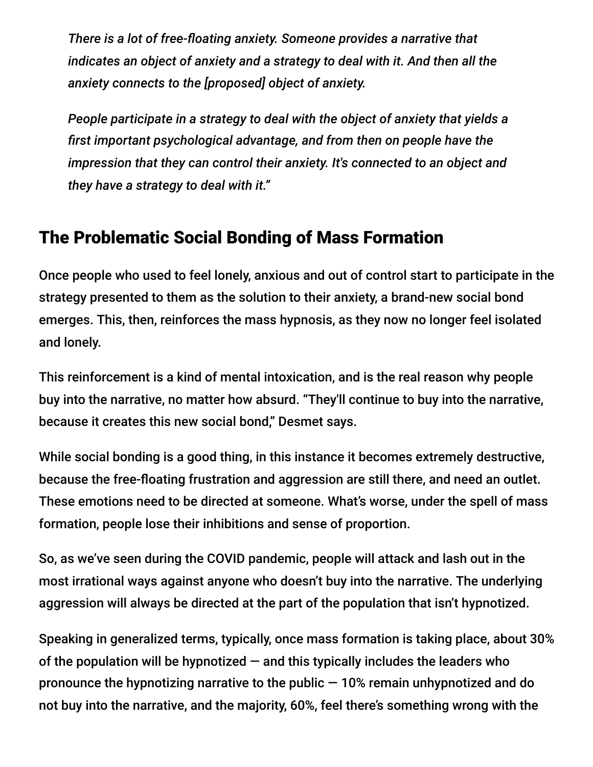*There is a lot of free-floating anxiety. Someone provides a narrative that indicates an object of anxiety and a strategy to deal with it. And then all the anxiety connects to the [proposed] object of anxiety.*

*People participate in a strategy to deal with the object of anxiety that yields a first important psychological advantage, and from then on people have the impression that they can control their anxiety. It's connected to an object and they have a strategy to deal with it."*

#### The Problematic Social Bonding of Mass Formation

Once people who used to feel lonely, anxious and out of control start to participate in the strategy presented to them as the solution to their anxiety, a brand-new social bond emerges. This, then, reinforces the mass hypnosis, as they now no longer feel isolated and lonely.

This reinforcement is a kind of mental intoxication, and is the real reason why people buy into the narrative, no matter how absurd. "They'll continue to buy into the narrative, because it creates this new social bond," Desmet says.

While social bonding is a good thing, in this instance it becomes extremely destructive, because the free-floating frustration and aggression are still there, and need an outlet. These emotions need to be directed at someone. What's worse, under the spell of mass formation, people lose their inhibitions and sense of proportion.

So, as we've seen during the COVID pandemic, people will attack and lash out in the most irrational ways against anyone who doesn't buy into the narrative. The underlying aggression will always be directed at the part of the population that isn't hypnotized.

Speaking in generalized terms, typically, once mass formation is taking place, about 30% of the population will be hypnotized  $-$  and this typically includes the leaders who pronounce the hypnotizing narrative to the public  $-10\%$  remain unhypnotized and do not buy into the narrative, and the majority, 60%, feel there's something wrong with the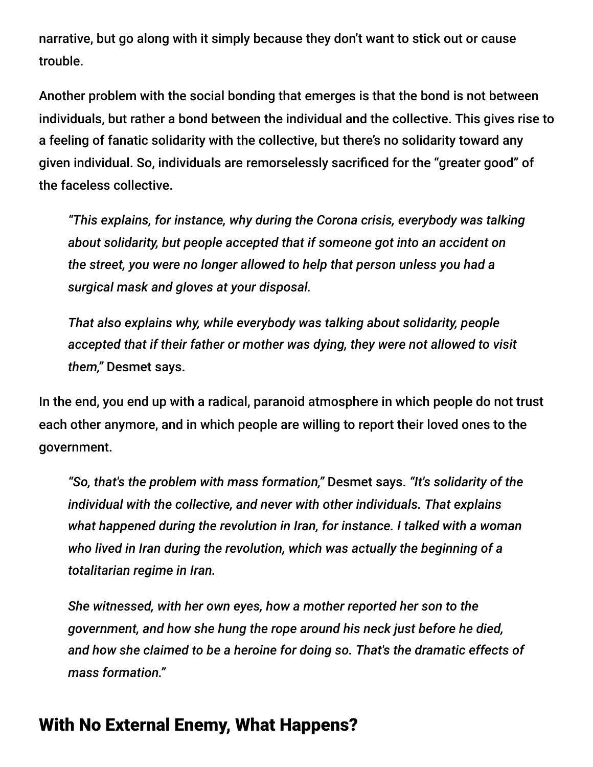narrative, but go along with it simply because they don't want to stick out or cause trouble.

Another problem with the social bonding that emerges is that the bond is not between individuals, but rather a bond between the individual and the collective. This gives rise to a feeling of fanatic solidarity with the collective, but there's no solidarity toward any given individual. So, individuals are remorselessly sacrificed for the "greater good" of the faceless collective.

*"This explains, for instance, why during the Corona crisis, everybody was talking about solidarity, but people accepted that if someone got into an accident on the street, you were no longer allowed to help that person unless you had a surgical mask and gloves at your disposal.*

*That also explains why, while everybody was talking about solidarity, people accepted that if their father or mother was dying, they were not allowed to visit them,"* Desmet says.

In the end, you end up with a radical, paranoid atmosphere in which people do not trust each other anymore, and in which people are willing to report their loved ones to the government.

*"So, that's the problem with mass formation,"* Desmet says. *"It's solidarity of the individual with the collective, and never with other individuals. That explains what happened during the revolution in Iran, for instance. I talked with a woman who lived in Iran during the revolution, which was actually the beginning of a totalitarian regime in Iran.*

*She witnessed, with her own eyes, how a mother reported her son to the government, and how she hung the rope around his neck just before he died, and how she claimed to be a heroine for doing so. That's the dramatic effects of mass formation."*

#### With No External Enemy, What Happens?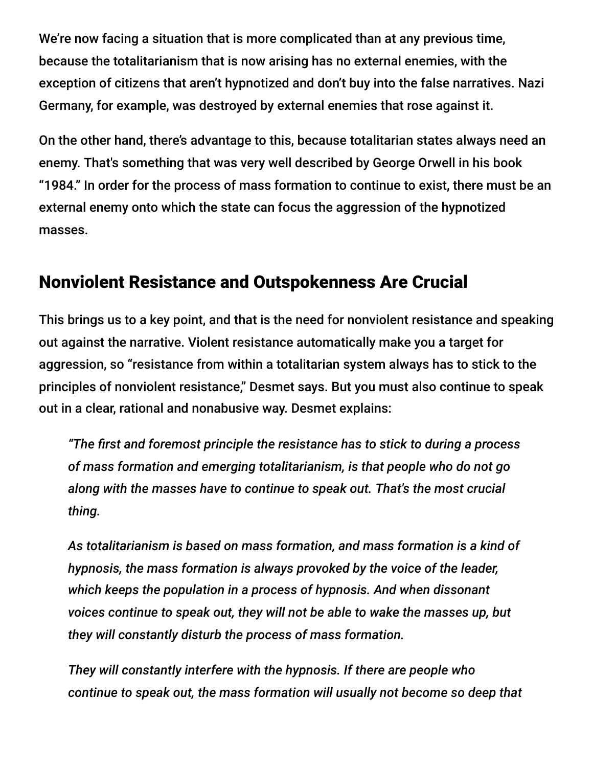We're now facing a situation that is more complicated than at any previous time, because the totalitarianism that is now arising has no external enemies, with the exception of citizens that aren't hypnotized and don't buy into the false narratives. Nazi Germany, for example, was destroyed by external enemies that rose against it.

On the other hand, there's advantage to this, because totalitarian states always need an enemy. That's something that was very well described by George Orwell in his book "1984." In order for the process of mass formation to continue to exist, there must be an external enemy onto which the state can focus the aggression of the hypnotized masses.

#### Nonviolent Resistance and Outspokenness Are Crucial

This brings us to a key point, and that is the need for nonviolent resistance and speaking out against the narrative. Violent resistance automatically make you a target for aggression, so "resistance from within a totalitarian system always has to stick to the principles of nonviolent resistance," Desmet says. But you must also continue to speak out in a clear, rational and nonabusive way. Desmet explains:

*"The first and foremost principle the resistance has to stick to during a process of mass formation and emerging totalitarianism, is that people who do not go along with the masses have to continue to speak out. That's the most crucial thing.*

*As totalitarianism is based on mass formation, and mass formation is a kind of hypnosis, the mass formation is always provoked by the voice of the leader, which keeps the population in a process of hypnosis. And when dissonant voices continue to speak out, they will not be able to wake the masses up, but they will constantly disturb the process of mass formation.*

*They will constantly interfere with the hypnosis. If there are people who continue to speak out, the mass formation will usually not become so deep that*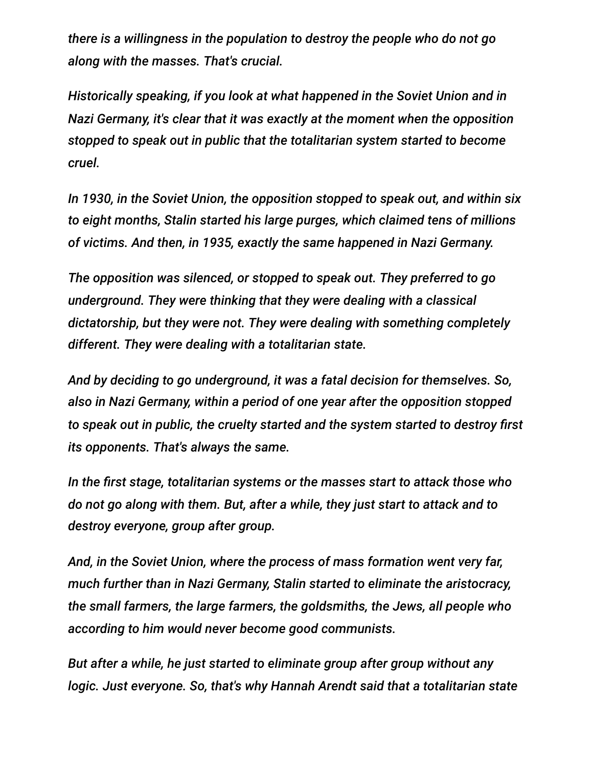*there is a willingness in the population to destroy the people who do not go along with the masses. That's crucial.*

*Historically speaking, if you look at what happened in the Soviet Union and in Nazi Germany, it's clear that it was exactly at the moment when the opposition stopped to speak out in public that the totalitarian system started to become cruel.*

*In 1930, in the Soviet Union, the opposition stopped to speak out, and within six to eight months, Stalin started his large purges, which claimed tens of millions of victims. And then, in 1935, exactly the same happened in Nazi Germany.*

*The opposition was silenced, or stopped to speak out. They preferred to go underground. They were thinking that they were dealing with a classical dictatorship, but they were not. They were dealing with something completely different. They were dealing with a totalitarian state.*

*And by deciding to go underground, it was a fatal decision for themselves. So, also in Nazi Germany, within a period of one year after the opposition stopped to speak out in public, the cruelty started and the system started to destroy first its opponents. That's always the same.*

*In the first stage, totalitarian systems or the masses start to attack those who do not go along with them. But, after a while, they just start to attack and to destroy everyone, group after group.*

*And, in the Soviet Union, where the process of mass formation went very far, much further than in Nazi Germany, Stalin started to eliminate the aristocracy, the small farmers, the large farmers, the goldsmiths, the Jews, all people who according to him would never become good communists.*

*But after a while, he just started to eliminate group after group without any logic. Just everyone. So, that's why Hannah Arendt said that a totalitarian state*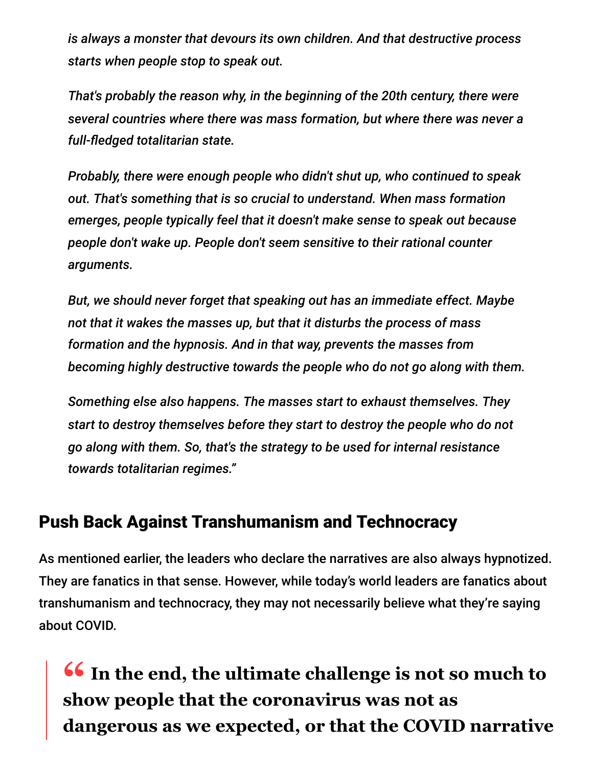*is always a monster that devours its own children. And that destructive process starts when people stop to speak out.*

*That's probably the reason why, in the beginning of the 20th century, there were several countries where there was mass formation, but where there was never a full-fledged totalitarian state.*

*Probably, there were enough people who didn't shut up, who continued to speak out. That's something that is so crucial to understand. When mass formation emerges, people typically feel that it doesn't make sense to speak out because people don't wake up. People don't seem sensitive to their rational counter arguments.*

*But, we should never forget that speaking out has an immediate effect. Maybe not that it wakes the masses up, but that it disturbs the process of mass formation and the hypnosis. And in that way, prevents the masses from becoming highly destructive towards the people who do not go along with them.*

*Something else also happens. The masses start to exhaust themselves. They start to destroy themselves before they start to destroy the people who do not go along with them. So, that's the strategy to be used for internal resistance towards totalitarian regimes."*

#### Push Back Against Transhumanism and Technocracy

As mentioned earlier, the leaders who declare the narratives are also always hypnotized. They are fanatics in that sense. However, while today's world leaders are fanatics about transhumanism and technocracy, they may not necessarily believe what they're saying about COVID.

**16 In the end, the ultimate challenge is not so much to**<br> **show people that the coronavirus was not as show people that the coronavirus was not as dangerous as we expected, or that the COVID narrative**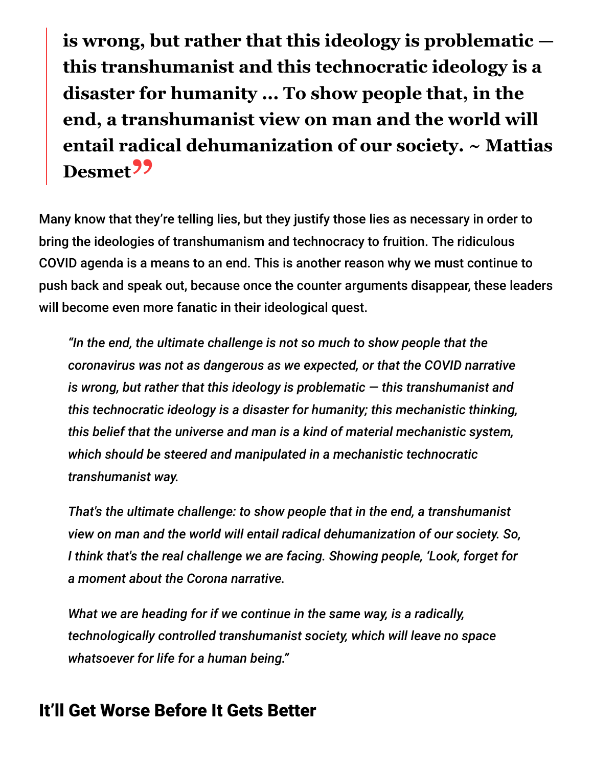**is wrong, but rather that this ideology is problematic this transhumanist and this technocratic ideology is a disaster for humanity ... To show people that, in the end, a transhumanist view on man and the world will entail radical dehumanization of our society. ~ Mattias Desmet"**

Many know that they're telling lies, but they justify those lies as necessary in order to bring the ideologies of transhumanism and technocracy to fruition. The ridiculous COVID agenda is a means to an end. This is another reason why we must continue to push back and speak out, because once the counter arguments disappear, these leaders will become even more fanatic in their ideological quest.

*"In the end, the ultimate challenge is not so much to show people that the coronavirus was not as dangerous as we expected, or that the COVID narrative is wrong, but rather that this ideology is problematic — this transhumanist and this technocratic ideology is a disaster for humanity; this mechanistic thinking, this belief that the universe and man is a kind of material mechanistic system, which should be steered and manipulated in a mechanistic technocratic transhumanist way.*

*That's the ultimate challenge: to show people that in the end, a transhumanist view on man and the world will entail radical dehumanization of our society. So, I think that's the real challenge we are facing. Showing people, 'Look, forget for a moment about the Corona narrative.*

*What we are heading for if we continue in the same way, is a radically, technologically controlled transhumanist society, which will leave no space whatsoever for life for a human being."*

#### It'll Get Worse Before It Gets Better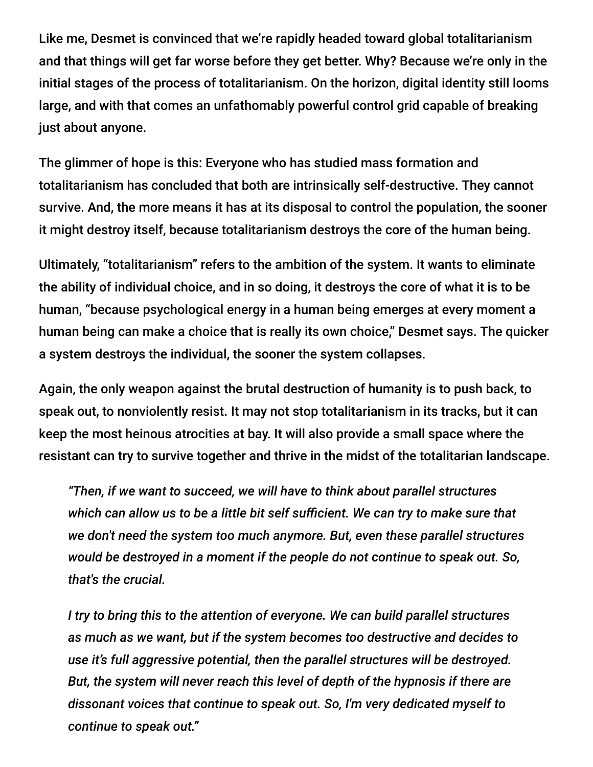Like me, Desmet is convinced that we're rapidly headed toward global totalitarianism and that things will get far worse before they get better. Why? Because we're only in the initial stages of the process of totalitarianism. On the horizon, digital identity still looms large, and with that comes an unfathomably powerful control grid capable of breaking just about anyone.

The glimmer of hope is this: Everyone who has studied mass formation and totalitarianism has concluded that both are intrinsically self-destructive. They cannot survive. And, the more means it has at its disposal to control the population, the sooner it might destroy itself, because totalitarianism destroys the core of the human being.

Ultimately, "totalitarianism" refers to the ambition of the system. It wants to eliminate the ability of individual choice, and in so doing, it destroys the core of what it is to be human, "because psychological energy in a human being emerges at every moment a human being can make a choice that is really its own choice," Desmet says. The quicker a system destroys the individual, the sooner the system collapses.

Again, the only weapon against the brutal destruction of humanity is to push back, to speak out, to nonviolently resist. It may not stop totalitarianism in its tracks, but it can keep the most heinous atrocities at bay. It will also provide a small space where the resistant can try to survive together and thrive in the midst of the totalitarian landscape.

*"Then, if we want to succeed, we will have to think about parallel structures which can allow us to be a little bit self sufficient. We can try to make sure that we don't need the system too much anymore. But, even these parallel structures would be destroyed in a moment if the people do not continue to speak out. So, that's the crucial.*

*I try to bring this to the attention of everyone. We can build parallel structures as much as we want, but if the system becomes too destructive and decides to use it's full aggressive potential, then the parallel structures will be destroyed. But, the system will never reach this level of depth of the hypnosis if there are dissonant voices that continue to speak out. So, I'm very dedicated myself to continue to speak out."*